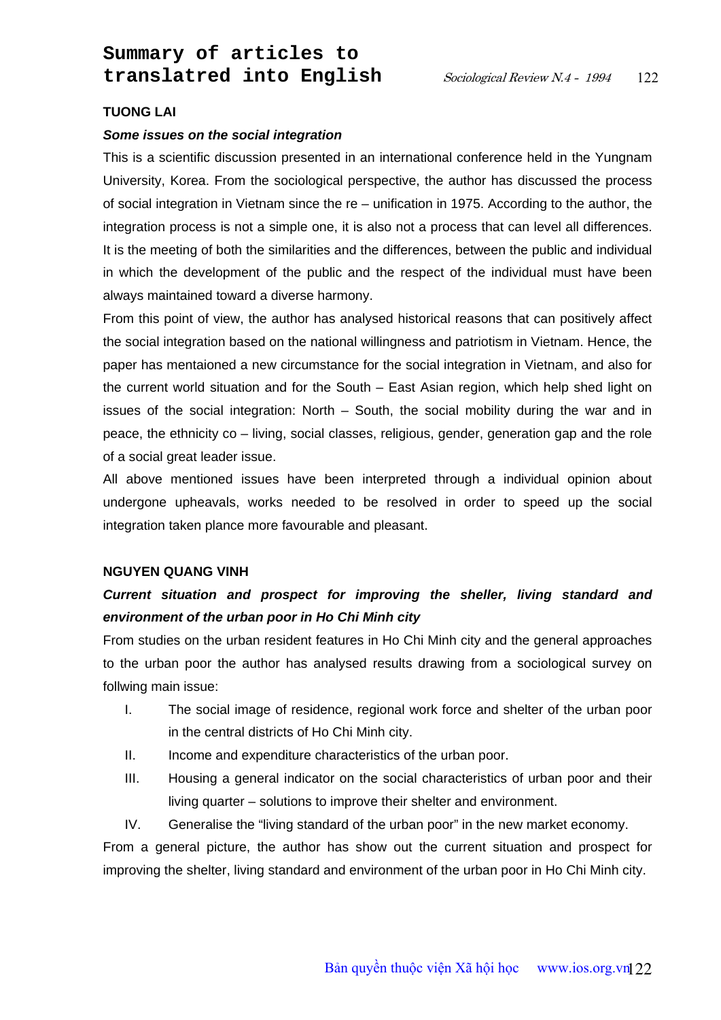# **TUONG LAI**

#### *Some issues on the social integration*

This is a scientific discussion presented in an international conference held in the Yungnam University, Korea. From the sociological perspective, the author has discussed the process of social integration in Vietnam since the re – unification in 1975. According to the author, the integration process is not a simple one, it is also not a process that can level all differences. It is the meeting of both the similarities and the differences, between the public and individual in which the development of the public and the respect of the individual must have been always maintained toward a diverse harmony.

From this point of view, the author has analysed historical reasons that can positively affect the social integration based on the national willingness and patriotism in Vietnam. Hence, the paper has mentaioned a new circumstance for the social integration in Vietnam, and also for the current world situation and for the South – East Asian region, which help shed light on issues of the social integration: North – South, the social mobility during the war and in peace, the ethnicity co – living, social classes, religious, gender, generation gap and the role of a social great leader issue.

All above mentioned issues have been interpreted through a individual opinion about undergone upheavals, works needed to be resolved in order to speed up the social integration taken plance more favourable and pleasant.

#### **NGUYEN QUANG VINH**

# *Current situation and prospect for improving the sheller, living standard and environment of the urban poor in Ho Chi Minh city*

From studies on the urban resident features in Ho Chi Minh city and the general approaches to the urban poor the author has analysed results drawing from a sociological survey on follwing main issue:

- I. The social image of residence, regional work force and shelter of the urban poor in the central districts of Ho Chi Minh city.
- II. Income and expenditure characteristics of the urban poor.
- III. Housing a general indicator on the social characteristics of urban poor and their living quarter – solutions to improve their shelter and environment.
- IV. Generalise the "living standard of the urban poor" in the new market economy.

From a general picture, the author has show out the current situation and prospect for improving the shelter, living standard and environment of the urban poor in Ho Chi Minh city.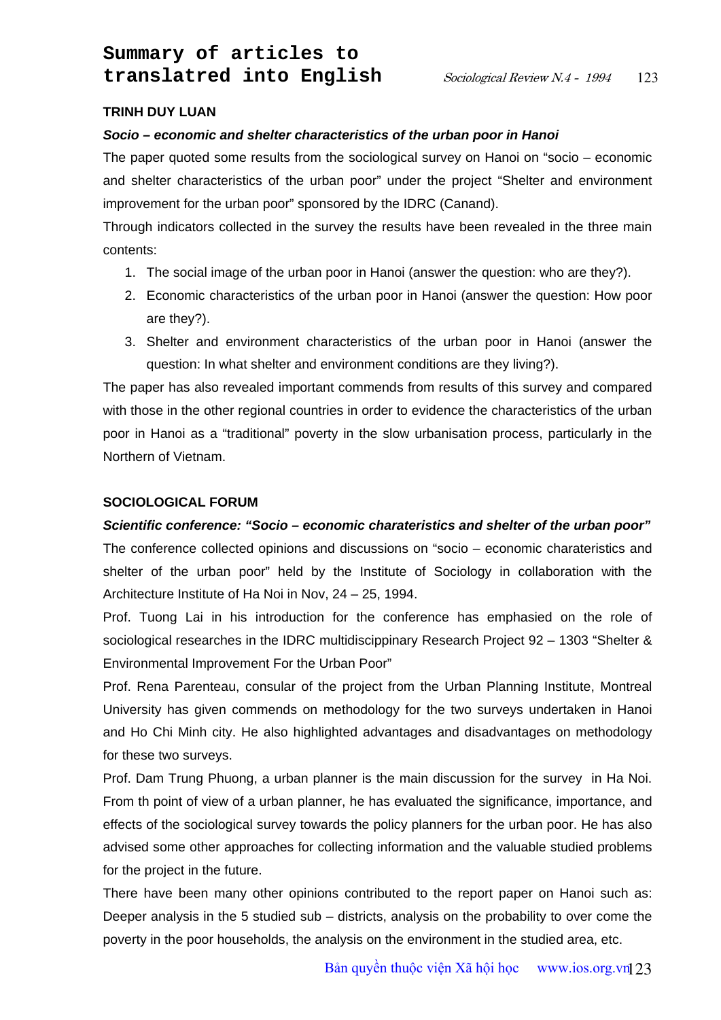# **TRINH DUY LUAN**

#### *Socio – economic and shelter characteristics of the urban poor in Hanoi*

The paper quoted some results from the sociological survey on Hanoi on "socio – economic and shelter characteristics of the urban poor" under the project "Shelter and environment improvement for the urban poor" sponsored by the IDRC (Canand).

Through indicators collected in the survey the results have been revealed in the three main contents:

- 1. The social image of the urban poor in Hanoi (answer the question: who are they?).
- 2. Economic characteristics of the urban poor in Hanoi (answer the question: How poor are they?).
- 3. Shelter and environment characteristics of the urban poor in Hanoi (answer the question: In what shelter and environment conditions are they living?).

The paper has also revealed important commends from results of this survey and compared with those in the other regional countries in order to evidence the characteristics of the urban poor in Hanoi as a "traditional" poverty in the slow urbanisation process, particularly in the Northern of Vietnam.

# **SOCIOLOGICAL FORUM**

# *Scientific conference: "Socio – economic charateristics and shelter of the urban poor"*

The conference collected opinions and discussions on "socio – economic charateristics and shelter of the urban poor" held by the Institute of Sociology in collaboration with the Architecture Institute of Ha Noi in Nov, 24 – 25, 1994.

Prof. Tuong Lai in his introduction for the conference has emphasied on the role of sociological researches in the IDRC multidiscippinary Research Project 92 – 1303 "Shelter & Environmental Improvement For the Urban Poor"

Prof. Rena Parenteau, consular of the project from the Urban Planning Institute, Montreal University has given commends on methodology for the two surveys undertaken in Hanoi and Ho Chi Minh city. He also highlighted advantages and disadvantages on methodology for these two surveys.

Prof. Dam Trung Phuong, a urban planner is the main discussion for the survey in Ha Noi. From th point of view of a urban planner, he has evaluated the significance, importance, and effects of the sociological survey towards the policy planners for the urban poor. He has also advised some other approaches for collecting information and the valuable studied problems for the project in the future.

There have been many other opinions contributed to the report paper on Hanoi such as: Deeper analysis in the 5 studied sub – districts, analysis on the probability to over come the poverty in the poor households, the analysis on the environment in the studied area, etc.